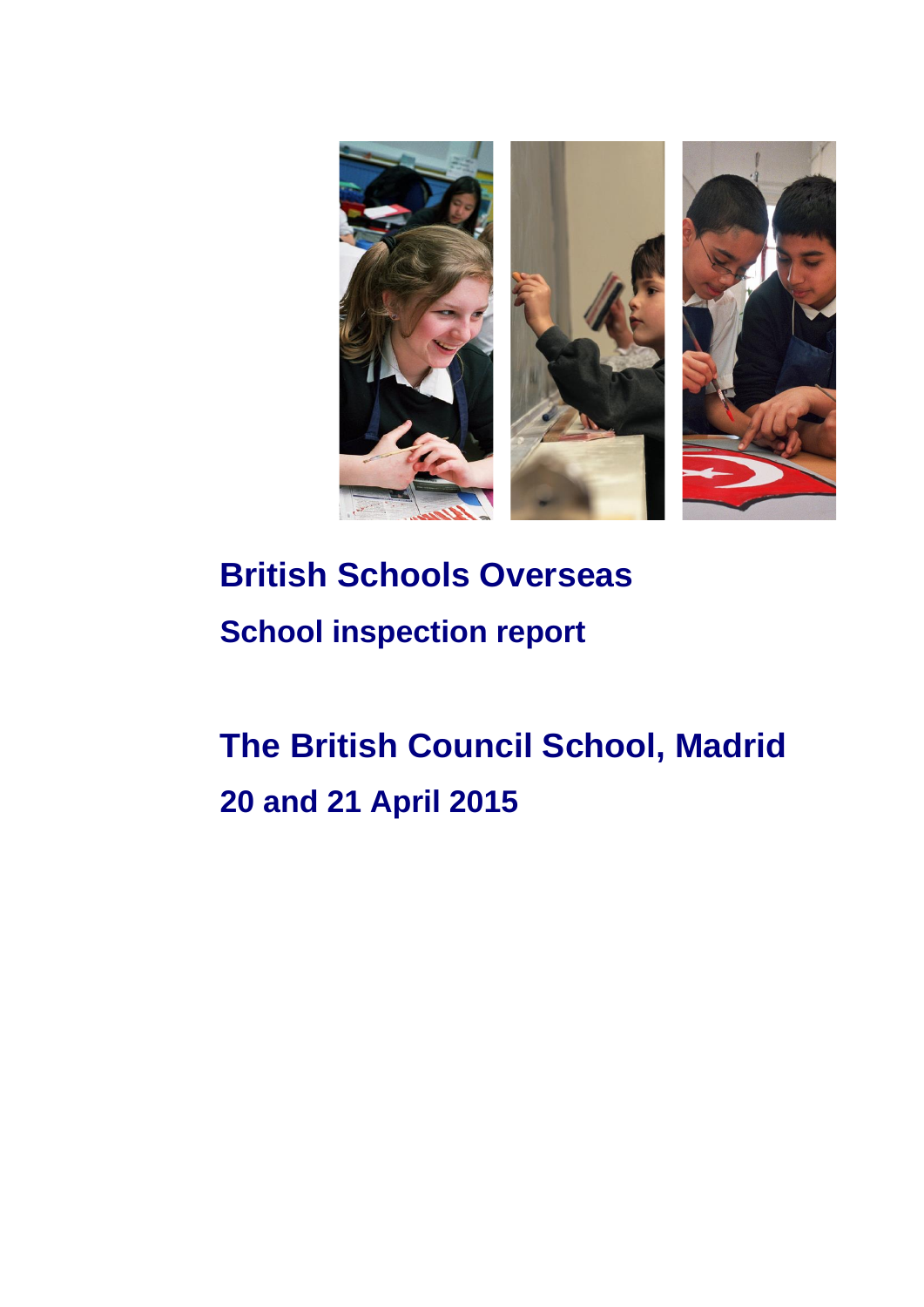

# **British Schools Overseas School inspection report**

# **The British Council School, Madrid 20 and 21 April 2015**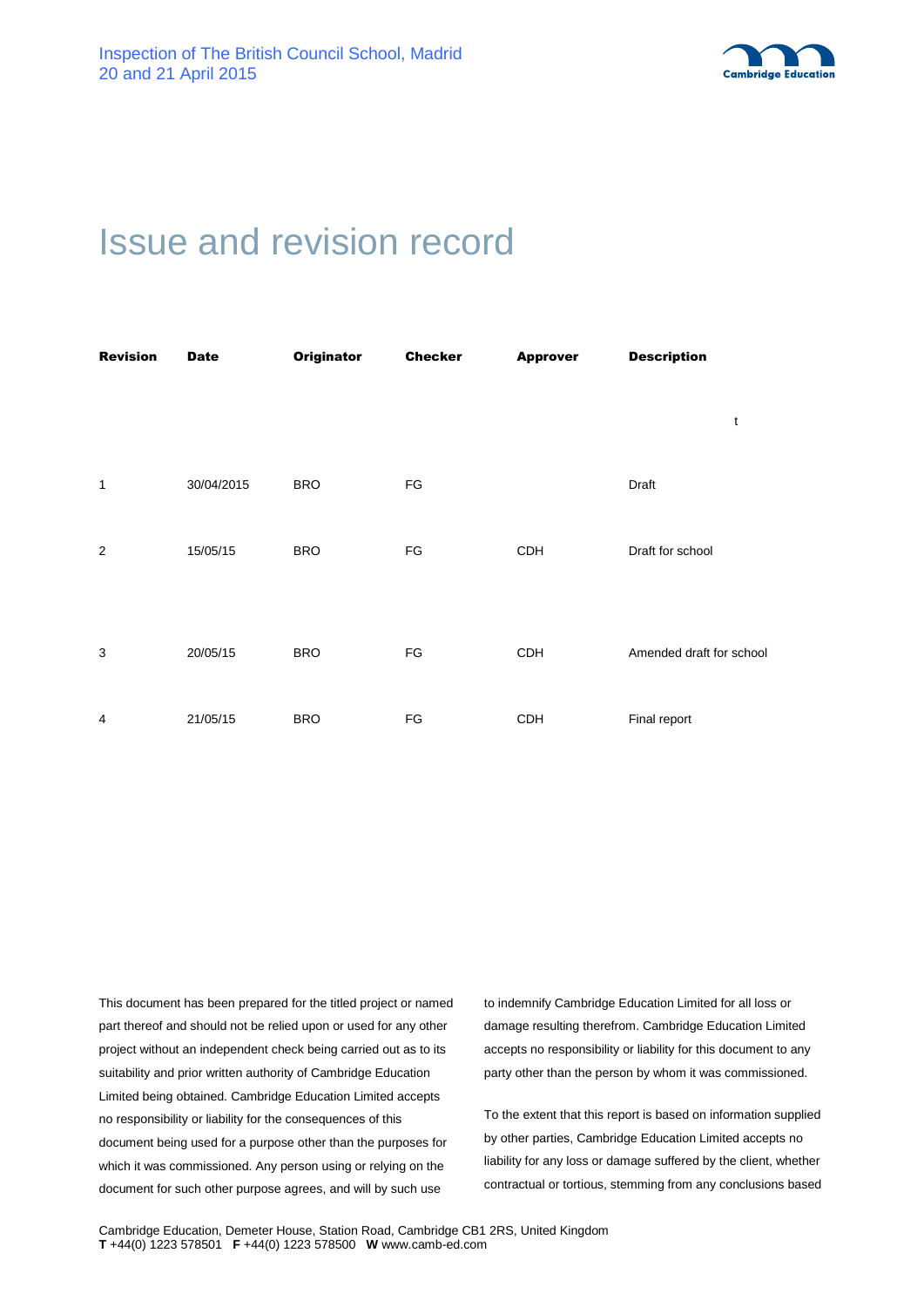

# Issue and revision record

| <b>Revision</b> | <b>Date</b> | <b>Originator</b> | <b>Checker</b> | <b>Approver</b> | <b>Description</b>       |
|-----------------|-------------|-------------------|----------------|-----------------|--------------------------|
|                 |             |                   |                |                 | t                        |
| $\mathbf{1}$    | 30/04/2015  | <b>BRO</b>        | FG             |                 | Draft                    |
| 2               | 15/05/15    | <b>BRO</b>        | FG             | <b>CDH</b>      | Draft for school         |
| 3               | 20/05/15    | <b>BRO</b>        | FG             | <b>CDH</b>      | Amended draft for school |
| 4               | 21/05/15    | <b>BRO</b>        | FG             | <b>CDH</b>      | Final report             |

This document has been prepared for the titled project or named part thereof and should not be relied upon or used for any other project without an independent check being carried out as to its suitability and prior written authority of Cambridge Education Limited being obtained. Cambridge Education Limited accepts no responsibility or liability for the consequences of this document being used for a purpose other than the purposes for which it was commissioned. Any person using or relying on the document for such other purpose agrees, and will by such use

to indemnify Cambridge Education Limited for all loss or damage resulting therefrom. Cambridge Education Limited accepts no responsibility or liability for this document to any party other than the person by whom it was commissioned.

To the extent that this report is based on information supplied by other parties, Cambridge Education Limited accepts no liability for any loss or damage suffered by the client, whether contractual or tortious, stemming from any conclusions based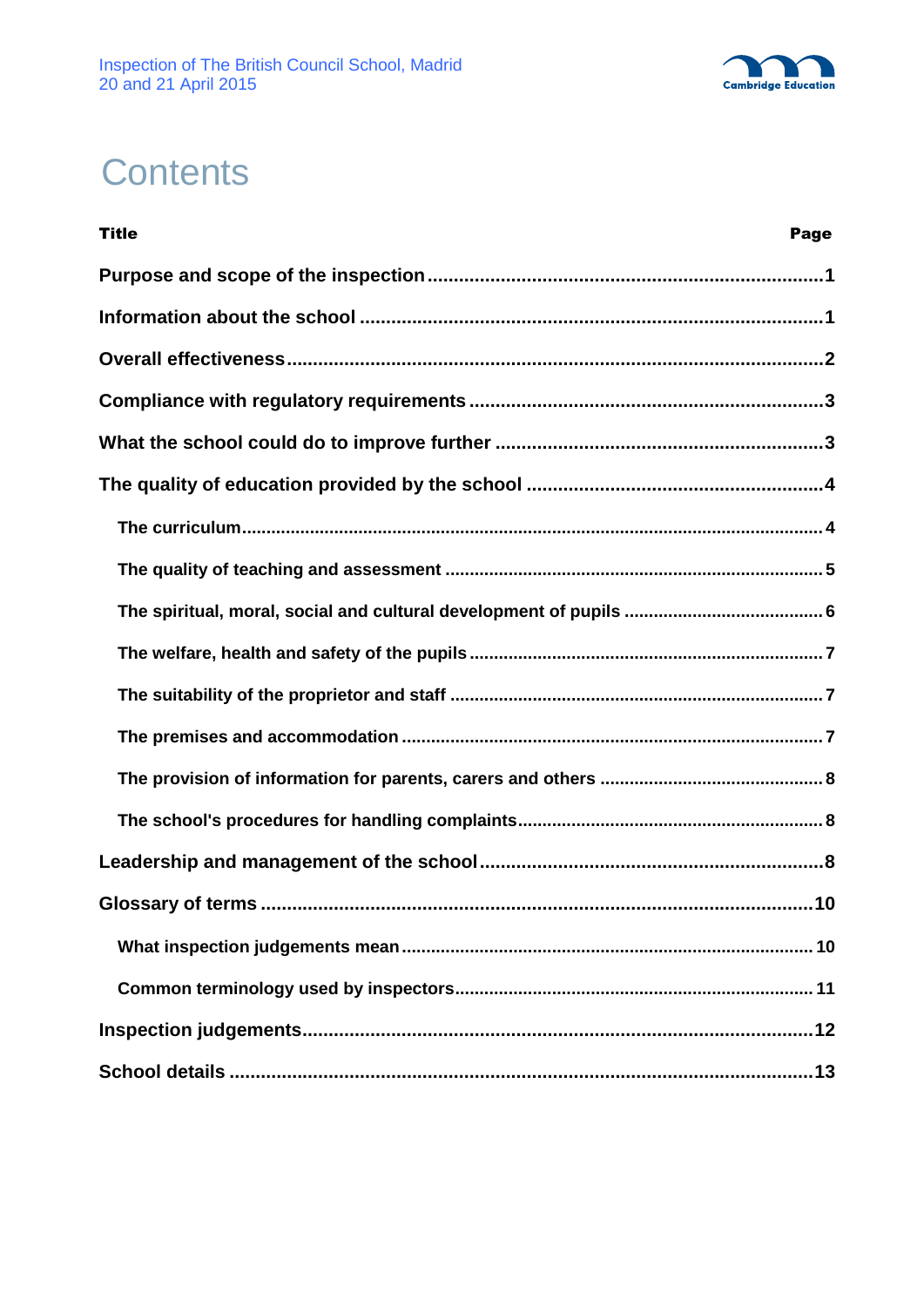

# **Contents**

| <b>Title</b><br>Page     |
|--------------------------|
|                          |
|                          |
|                          |
|                          |
|                          |
|                          |
|                          |
|                          |
|                          |
|                          |
|                          |
|                          |
|                          |
|                          |
|                          |
| Glossary of terms<br>.10 |
|                          |
|                          |
|                          |
|                          |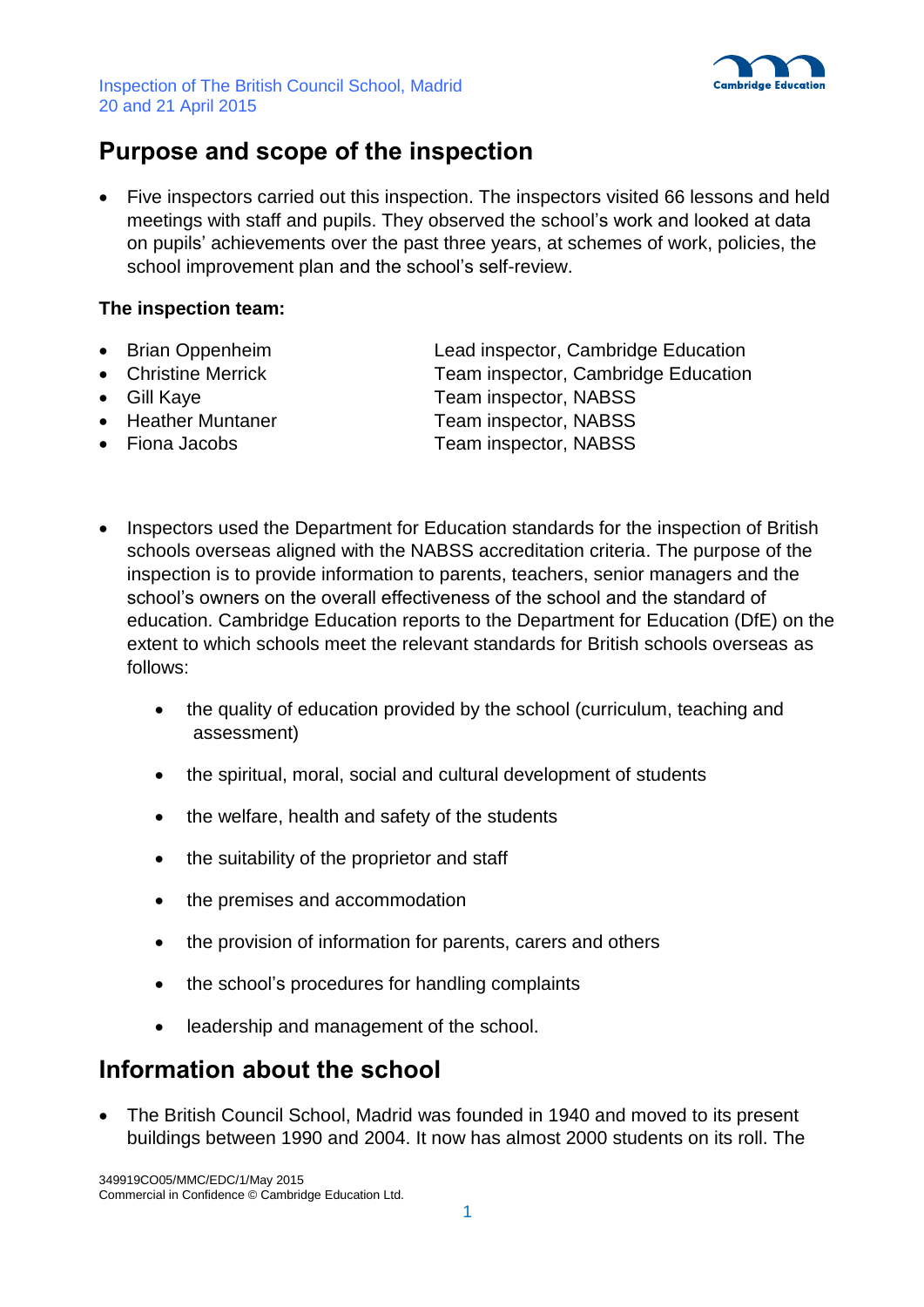

## **Purpose and scope of the inspection**

 Five inspectors carried out this inspection. The inspectors visited 66 lessons and held meetings with staff and pupils. They observed the school's work and looked at data on pupils' achievements over the past three years, at schemes of work, policies, the school improvement plan and the school's self-review.

### **The inspection team:**

- 
- 
- 
- 
- 

• Brian Oppenheim Lead inspector, Cambridge Education Christine Merrick Team inspector, Cambridge Education • Gill Kaye Team inspector, NABSS • Heather Muntaner Team inspector, NABSS • Fiona Jacobs Team inspector, NABSS

- Inspectors used the Department for Education standards for the inspection of British schools overseas aligned with the NABSS accreditation criteria. The purpose of the inspection is to provide information to parents, teachers, senior managers and the school's owners on the overall effectiveness of the school and the standard of education. Cambridge Education reports to the Department for Education (DfE) on the extent to which schools meet the relevant standards for British schools overseas as follows:
	- the quality of education provided by the school (curriculum, teaching and assessment)
	- the spiritual, moral, social and cultural development of students
	- the welfare, health and safety of the students
	- the suitability of the proprietor and staff
	- the premises and accommodation
	- the provision of information for parents, carers and others
	- the school's procedures for handling complaints
	- leadership and management of the school.

## **Information about the school**

 The British Council School, Madrid was founded in 1940 and moved to its present buildings between 1990 and 2004. It now has almost 2000 students on its roll. The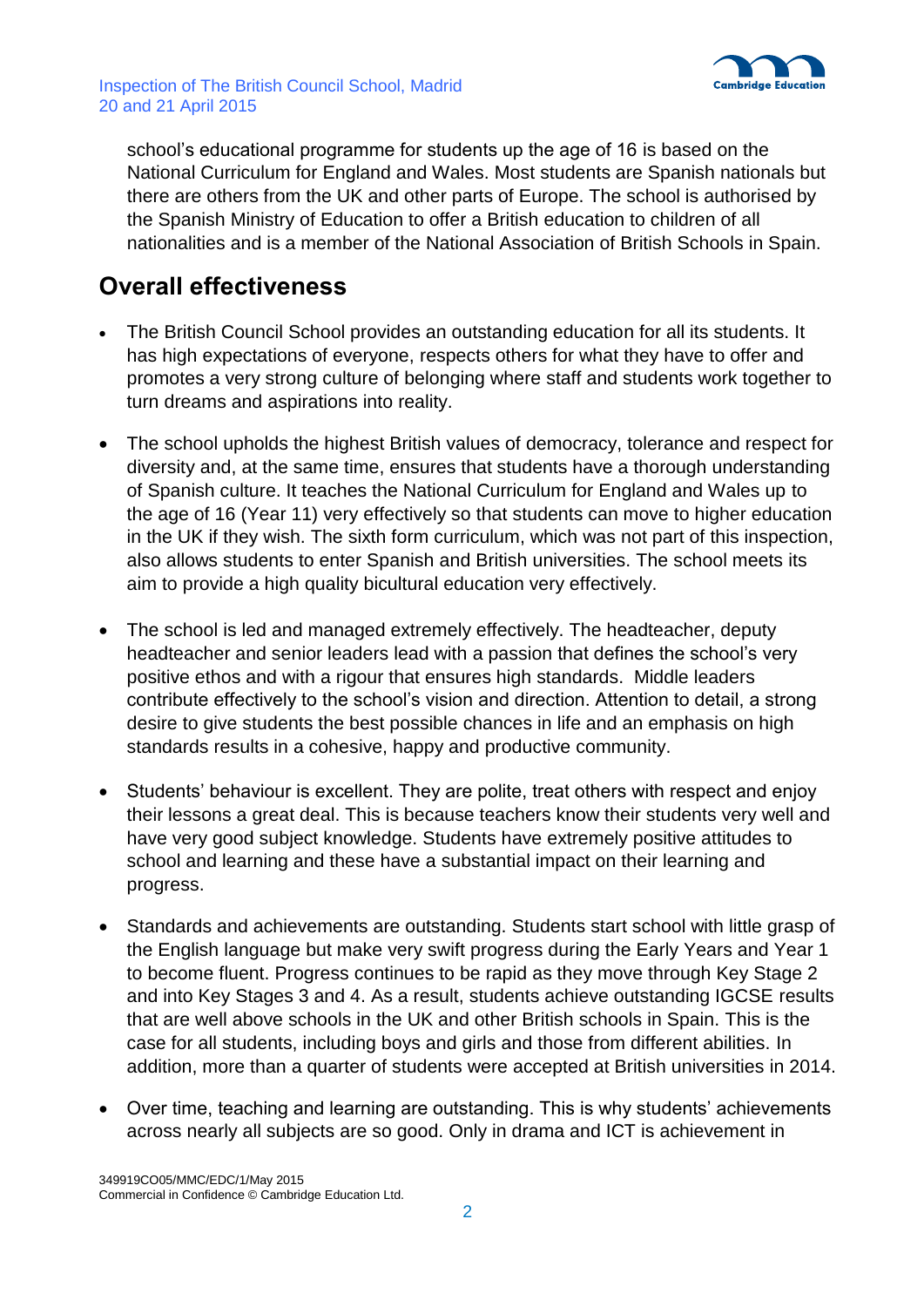

school's educational programme for students up the age of 16 is based on the National Curriculum for England and Wales. Most students are Spanish nationals but there are others from the UK and other parts of Europe. The school is authorised by the Spanish Ministry of Education to offer a British education to children of all nationalities and is a member of the National Association of British Schools in Spain.

## **Overall effectiveness**

- The British Council School provides an outstanding education for all its students. It has high expectations of everyone, respects others for what they have to offer and promotes a very strong culture of belonging where staff and students work together to turn dreams and aspirations into reality.
- The school upholds the highest British values of democracy, tolerance and respect for diversity and, at the same time, ensures that students have a thorough understanding of Spanish culture. It teaches the National Curriculum for England and Wales up to the age of 16 (Year 11) very effectively so that students can move to higher education in the UK if they wish. The sixth form curriculum, which was not part of this inspection, also allows students to enter Spanish and British universities. The school meets its aim to provide a high quality bicultural education very effectively.
- The school is led and managed extremely effectively. The headteacher, deputy headteacher and senior leaders lead with a passion that defines the school's very positive ethos and with a rigour that ensures high standards. Middle leaders contribute effectively to the school's vision and direction. Attention to detail, a strong desire to give students the best possible chances in life and an emphasis on high standards results in a cohesive, happy and productive community.
- Students' behaviour is excellent. They are polite, treat others with respect and enjoy their lessons a great deal. This is because teachers know their students very well and have very good subject knowledge. Students have extremely positive attitudes to school and learning and these have a substantial impact on their learning and progress.
- Standards and achievements are outstanding. Students start school with little grasp of the English language but make very swift progress during the Early Years and Year 1 to become fluent. Progress continues to be rapid as they move through Key Stage 2 and into Key Stages 3 and 4. As a result, students achieve outstanding IGCSE results that are well above schools in the UK and other British schools in Spain. This is the case for all students, including boys and girls and those from different abilities. In addition, more than a quarter of students were accepted at British universities in 2014.
- Over time, teaching and learning are outstanding. This is why students' achievements across nearly all subjects are so good. Only in drama and ICT is achievement in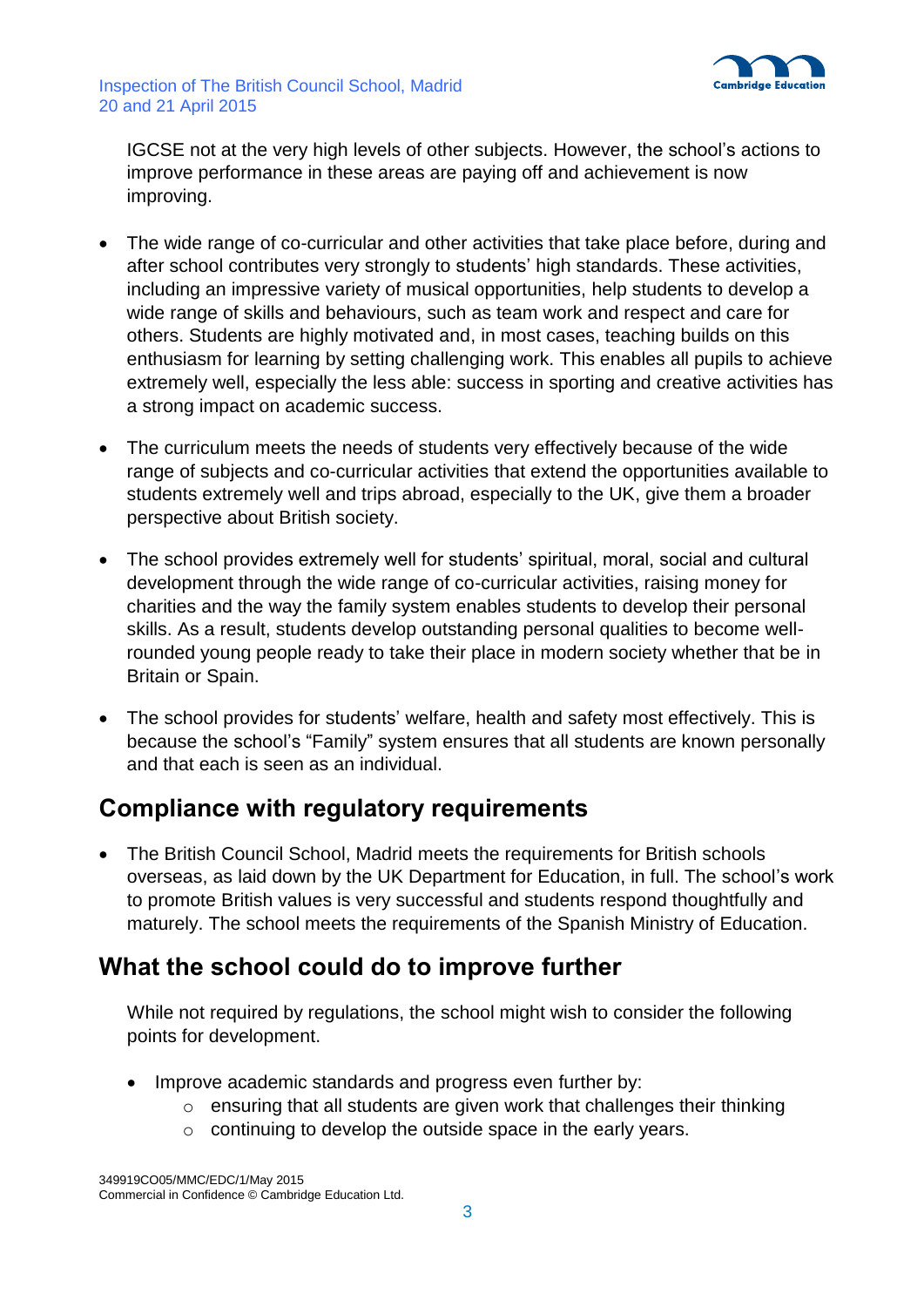

IGCSE not at the very high levels of other subjects. However, the school's actions to improve performance in these areas are paying off and achievement is now improving.

- The wide range of co-curricular and other activities that take place before, during and after school contributes very strongly to students' high standards. These activities, including an impressive variety of musical opportunities, help students to develop a wide range of skills and behaviours, such as team work and respect and care for others. Students are highly motivated and, in most cases, teaching builds on this enthusiasm for learning by setting challenging work. This enables all pupils to achieve extremely well, especially the less able: success in sporting and creative activities has a strong impact on academic success.
- The curriculum meets the needs of students very effectively because of the wide range of subjects and co-curricular activities that extend the opportunities available to students extremely well and trips abroad, especially to the UK, give them a broader perspective about British society.
- The school provides extremely well for students' spiritual, moral, social and cultural development through the wide range of co-curricular activities, raising money for charities and the way the family system enables students to develop their personal skills. As a result, students develop outstanding personal qualities to become wellrounded young people ready to take their place in modern society whether that be in Britain or Spain.
- The school provides for students' welfare, health and safety most effectively. This is because the school's "Family" system ensures that all students are known personally and that each is seen as an individual.

## **Compliance with regulatory requirements**

 The British Council School, Madrid meets the requirements for British schools overseas, as laid down by the UK Department for Education, in full. The school's work to promote British values is very successful and students respond thoughtfully and maturely. The school meets the requirements of the Spanish Ministry of Education.

## **What the school could do to improve further**

While not required by regulations, the school might wish to consider the following points for development.

- Improve academic standards and progress even further by:
	- o ensuring that all students are given work that challenges their thinking
	- o continuing to develop the outside space in the early years.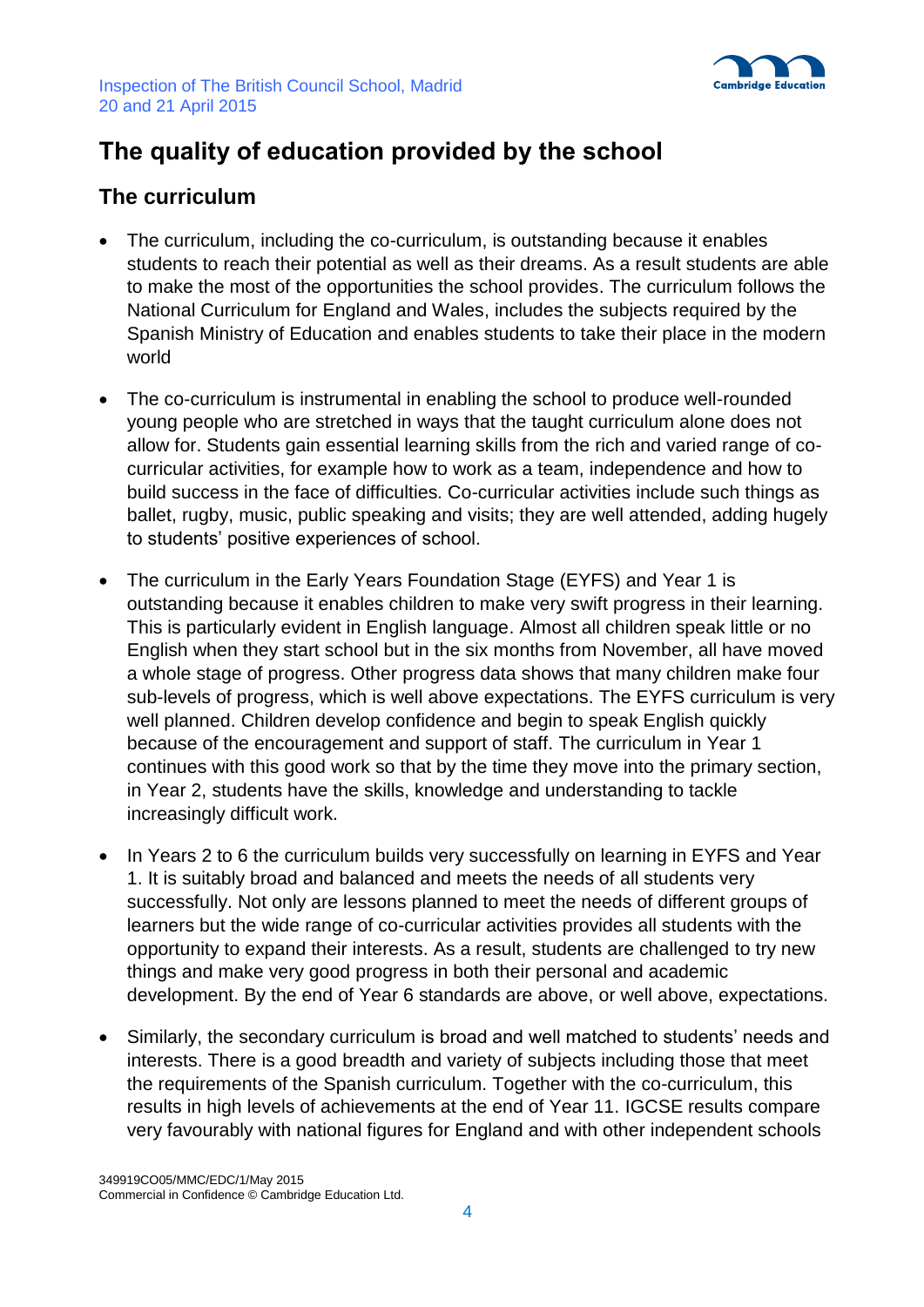

# **The quality of education provided by the school**

## **The curriculum**

- The curriculum, including the co-curriculum, is outstanding because it enables students to reach their potential as well as their dreams. As a result students are able to make the most of the opportunities the school provides. The curriculum follows the National Curriculum for England and Wales, includes the subjects required by the Spanish Ministry of Education and enables students to take their place in the modern world
- The co-curriculum is instrumental in enabling the school to produce well-rounded young people who are stretched in ways that the taught curriculum alone does not allow for. Students gain essential learning skills from the rich and varied range of cocurricular activities, for example how to work as a team, independence and how to build success in the face of difficulties. Co-curricular activities include such things as ballet, rugby, music, public speaking and visits; they are well attended, adding hugely to students' positive experiences of school.
- The curriculum in the Early Years Foundation Stage (EYFS) and Year 1 is outstanding because it enables children to make very swift progress in their learning. This is particularly evident in English language. Almost all children speak little or no English when they start school but in the six months from November, all have moved a whole stage of progress. Other progress data shows that many children make four sub-levels of progress, which is well above expectations. The EYFS curriculum is very well planned. Children develop confidence and begin to speak English quickly because of the encouragement and support of staff. The curriculum in Year 1 continues with this good work so that by the time they move into the primary section, in Year 2, students have the skills, knowledge and understanding to tackle increasingly difficult work.
- In Years 2 to 6 the curriculum builds very successfully on learning in EYFS and Year 1. It is suitably broad and balanced and meets the needs of all students very successfully. Not only are lessons planned to meet the needs of different groups of learners but the wide range of co-curricular activities provides all students with the opportunity to expand their interests. As a result, students are challenged to try new things and make very good progress in both their personal and academic development. By the end of Year 6 standards are above, or well above, expectations.
- Similarly, the secondary curriculum is broad and well matched to students' needs and interests. There is a good breadth and variety of subjects including those that meet the requirements of the Spanish curriculum. Together with the co-curriculum, this results in high levels of achievements at the end of Year 11. IGCSE results compare very favourably with national figures for England and with other independent schools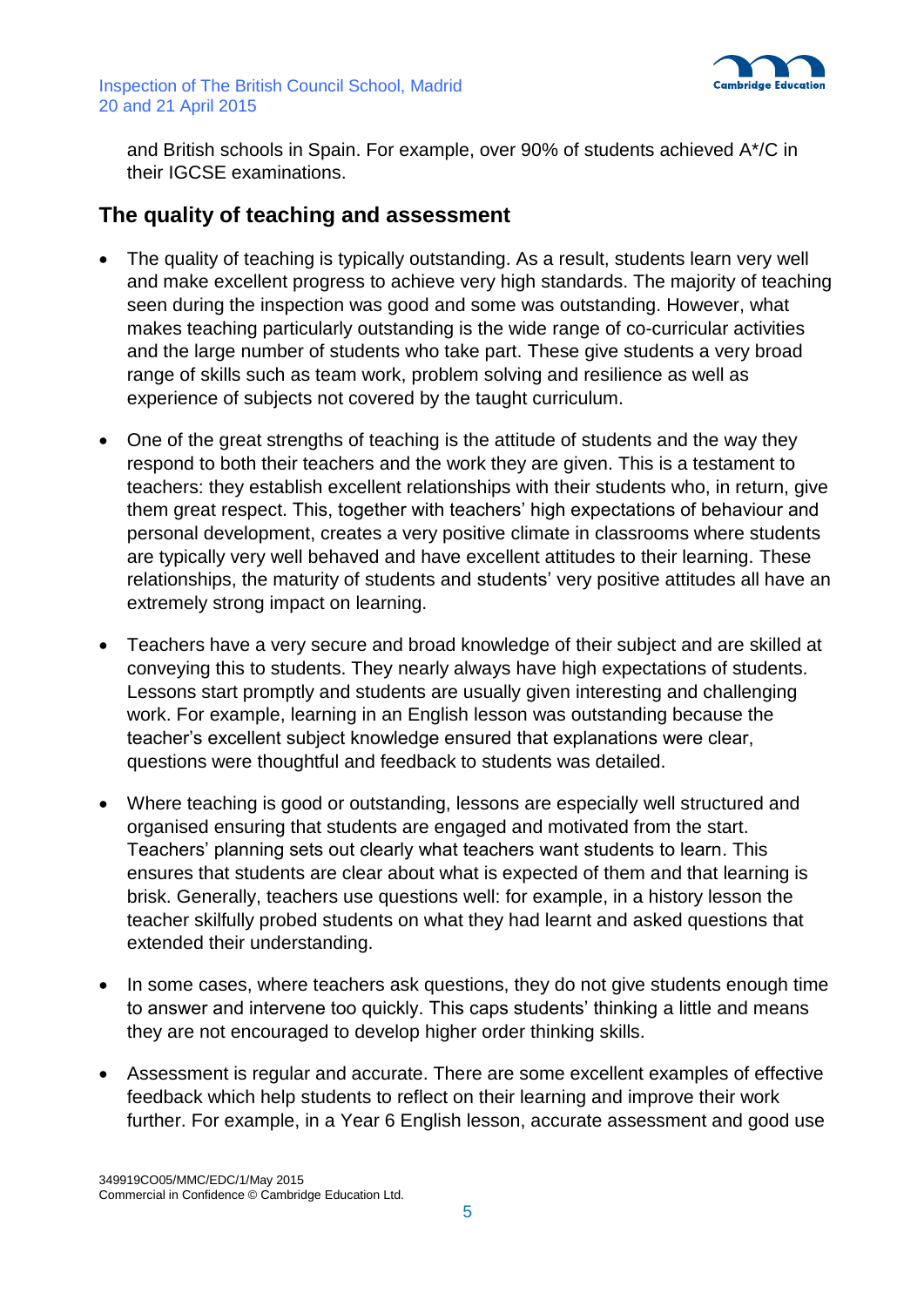

and British schools in Spain. For example, over 90% of students achieved A\*/C in their IGCSE examinations.

### **The quality of teaching and assessment**

- The quality of teaching is typically outstanding. As a result, students learn very well and make excellent progress to achieve very high standards. The majority of teaching seen during the inspection was good and some was outstanding. However, what makes teaching particularly outstanding is the wide range of co-curricular activities and the large number of students who take part. These give students a very broad range of skills such as team work, problem solving and resilience as well as experience of subjects not covered by the taught curriculum.
- One of the great strengths of teaching is the attitude of students and the way they respond to both their teachers and the work they are given. This is a testament to teachers: they establish excellent relationships with their students who, in return, give them great respect. This, together with teachers' high expectations of behaviour and personal development, creates a very positive climate in classrooms where students are typically very well behaved and have excellent attitudes to their learning. These relationships, the maturity of students and students' very positive attitudes all have an extremely strong impact on learning.
- Teachers have a very secure and broad knowledge of their subject and are skilled at conveying this to students. They nearly always have high expectations of students. Lessons start promptly and students are usually given interesting and challenging work. For example, learning in an English lesson was outstanding because the teacher's excellent subject knowledge ensured that explanations were clear, questions were thoughtful and feedback to students was detailed.
- Where teaching is good or outstanding, lessons are especially well structured and organised ensuring that students are engaged and motivated from the start. Teachers' planning sets out clearly what teachers want students to learn. This ensures that students are clear about what is expected of them and that learning is brisk. Generally, teachers use questions well: for example, in a history lesson the teacher skilfully probed students on what they had learnt and asked questions that extended their understanding.
- In some cases, where teachers ask questions, they do not give students enough time to answer and intervene too quickly. This caps students' thinking a little and means they are not encouraged to develop higher order thinking skills.
- Assessment is regular and accurate. There are some excellent examples of effective feedback which help students to reflect on their learning and improve their work further. For example, in a Year 6 English lesson, accurate assessment and good use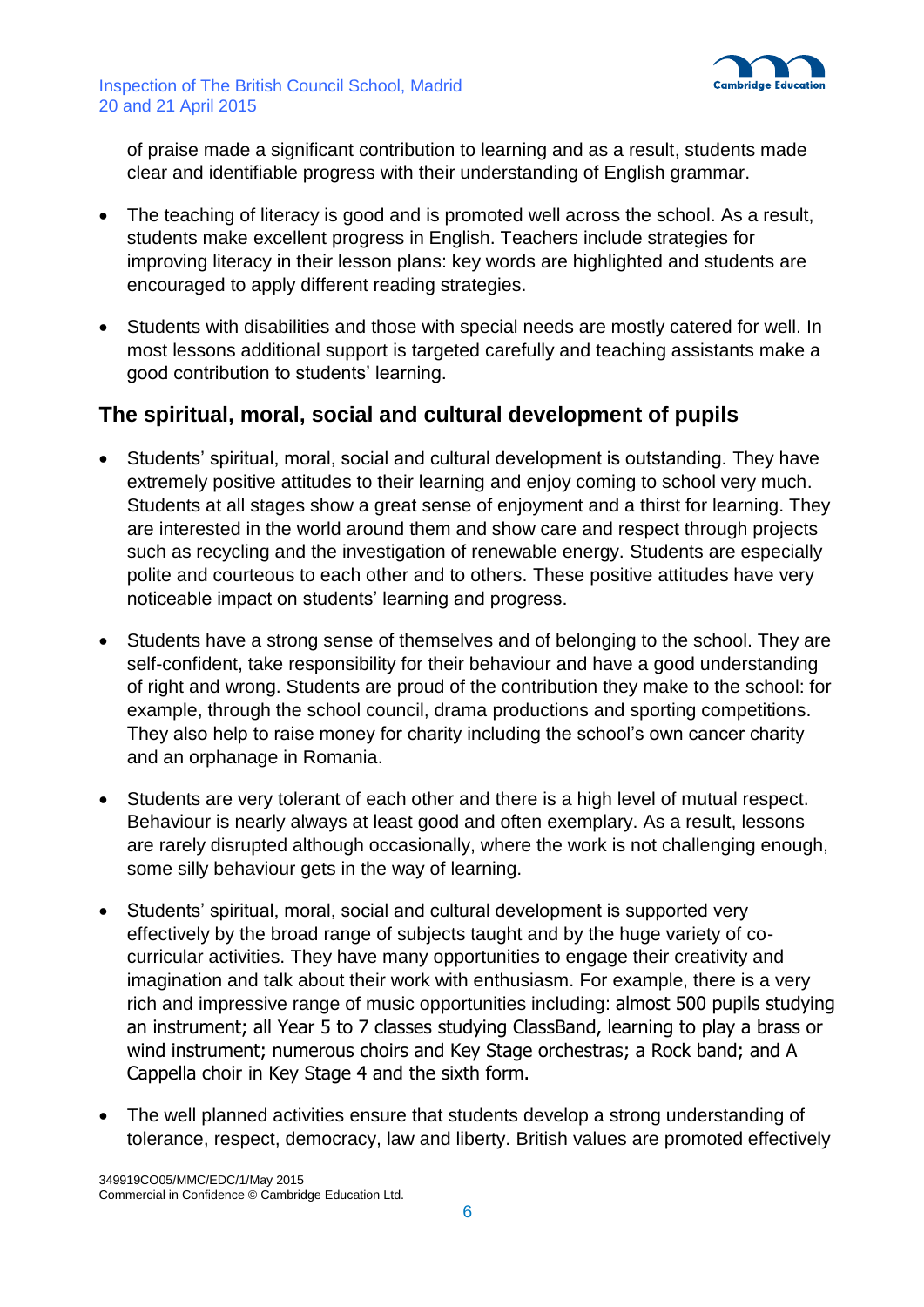

of praise made a significant contribution to learning and as a result, students made clear and identifiable progress with their understanding of English grammar.

- The teaching of literacy is good and is promoted well across the school. As a result, students make excellent progress in English. Teachers include strategies for improving literacy in their lesson plans: key words are highlighted and students are encouraged to apply different reading strategies.
- Students with disabilities and those with special needs are mostly catered for well. In most lessons additional support is targeted carefully and teaching assistants make a good contribution to students' learning.

### **The spiritual, moral, social and cultural development of pupils**

- Students' spiritual, moral, social and cultural development is outstanding. They have extremely positive attitudes to their learning and enjoy coming to school very much. Students at all stages show a great sense of enjoyment and a thirst for learning. They are interested in the world around them and show care and respect through projects such as recycling and the investigation of renewable energy. Students are especially polite and courteous to each other and to others. These positive attitudes have very noticeable impact on students' learning and progress.
- Students have a strong sense of themselves and of belonging to the school. They are self-confident, take responsibility for their behaviour and have a good understanding of right and wrong. Students are proud of the contribution they make to the school: for example, through the school council, drama productions and sporting competitions. They also help to raise money for charity including the school's own cancer charity and an orphanage in Romania.
- Students are very tolerant of each other and there is a high level of mutual respect. Behaviour is nearly always at least good and often exemplary. As a result, lessons are rarely disrupted although occasionally, where the work is not challenging enough, some silly behaviour gets in the way of learning.
- Students' spiritual, moral, social and cultural development is supported very effectively by the broad range of subjects taught and by the huge variety of cocurricular activities. They have many opportunities to engage their creativity and imagination and talk about their work with enthusiasm. For example, there is a very rich and impressive range of music opportunities including: almost 500 pupils studying an instrument; all Year 5 to 7 classes studying ClassBand, learning to play a brass or wind instrument; numerous choirs and Key Stage orchestras; a Rock band; and A Cappella choir in Key Stage 4 and the sixth form.
- The well planned activities ensure that students develop a strong understanding of tolerance, respect, democracy, law and liberty. British values are promoted effectively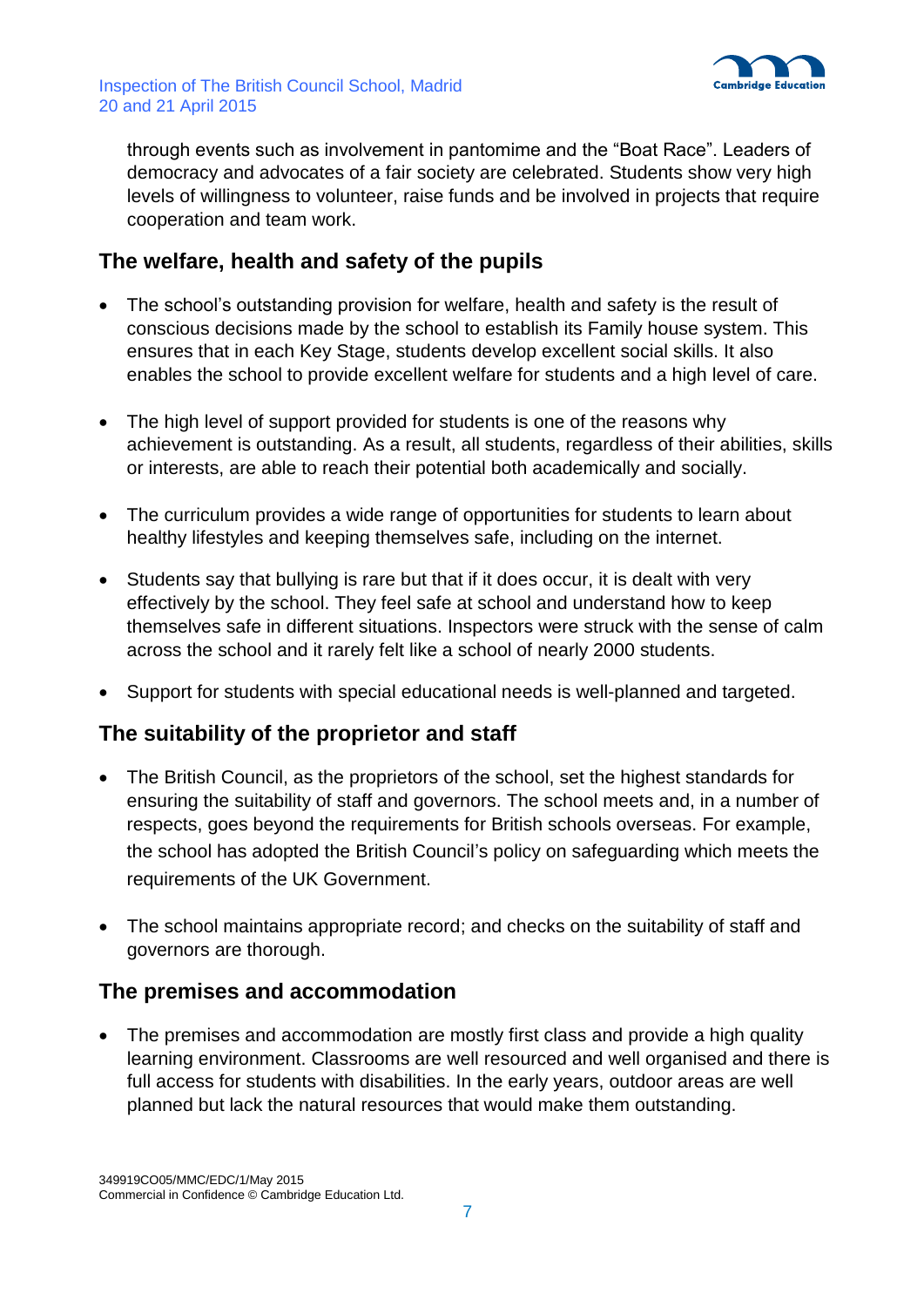

through events such as involvement in pantomime and the "Boat Race". Leaders of democracy and advocates of a fair society are celebrated. Students show very high levels of willingness to volunteer, raise funds and be involved in projects that require cooperation and team work.

## **The welfare, health and safety of the pupils**

- The school's outstanding provision for welfare, health and safety is the result of conscious decisions made by the school to establish its Family house system. This ensures that in each Key Stage, students develop excellent social skills. It also enables the school to provide excellent welfare for students and a high level of care.
- The high level of support provided for students is one of the reasons why achievement is outstanding. As a result, all students, regardless of their abilities, skills or interests, are able to reach their potential both academically and socially.
- The curriculum provides a wide range of opportunities for students to learn about healthy lifestyles and keeping themselves safe, including on the internet.
- Students say that bullying is rare but that if it does occur, it is dealt with very effectively by the school. They feel safe at school and understand how to keep themselves safe in different situations. Inspectors were struck with the sense of calm across the school and it rarely felt like a school of nearly 2000 students.
- Support for students with special educational needs is well-planned and targeted.

## **The suitability of the proprietor and staff**

- The British Council, as the proprietors of the school, set the highest standards for ensuring the suitability of staff and governors. The school meets and, in a number of respects, goes beyond the requirements for British schools overseas. For example, the school has adopted the British Council's policy on safeguarding which meets the requirements of the UK Government.
- The school maintains appropriate record; and checks on the suitability of staff and governors are thorough.

## **The premises and accommodation**

• The premises and accommodation are mostly first class and provide a high quality learning environment. Classrooms are well resourced and well organised and there is full access for students with disabilities. In the early years, outdoor areas are well planned but lack the natural resources that would make them outstanding.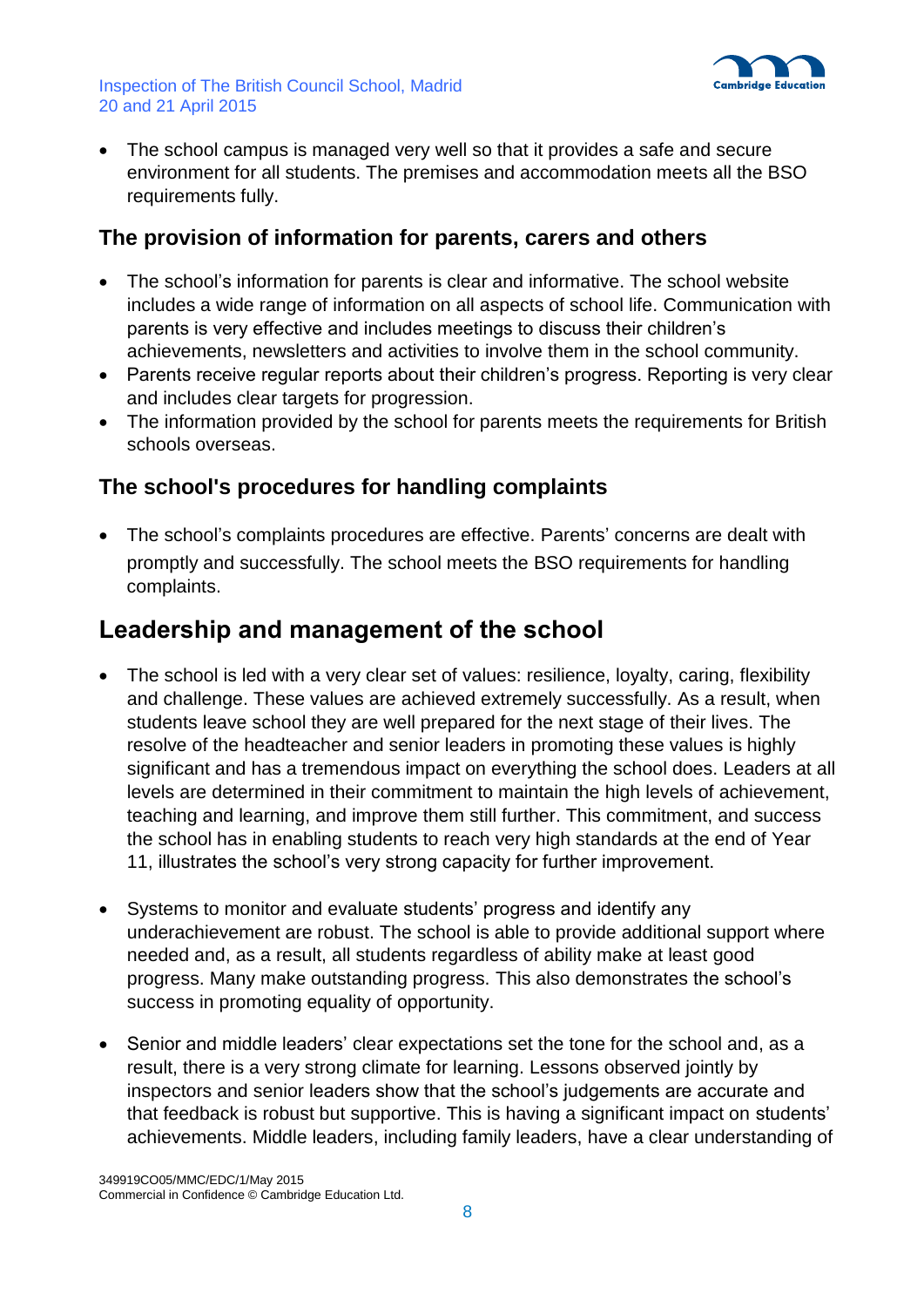

 The school campus is managed very well so that it provides a safe and secure environment for all students. The premises and accommodation meets all the BSO requirements fully.

## **The provision of information for parents, carers and others**

- The school's information for parents is clear and informative. The school website includes a wide range of information on all aspects of school life. Communication with parents is very effective and includes meetings to discuss their children's achievements, newsletters and activities to involve them in the school community.
- Parents receive regular reports about their children's progress. Reporting is very clear and includes clear targets for progression.
- The information provided by the school for parents meets the requirements for British schools overseas.

## **The school's procedures for handling complaints**

 The school's complaints procedures are effective. Parents' concerns are dealt with promptly and successfully. The school meets the BSO requirements for handling complaints.

## **Leadership and management of the school**

- The school is led with a very clear set of values: resilience, loyalty, caring, flexibility and challenge. These values are achieved extremely successfully. As a result, when students leave school they are well prepared for the next stage of their lives. The resolve of the headteacher and senior leaders in promoting these values is highly significant and has a tremendous impact on everything the school does. Leaders at all levels are determined in their commitment to maintain the high levels of achievement, teaching and learning, and improve them still further. This commitment, and success the school has in enabling students to reach very high standards at the end of Year 11, illustrates the school's very strong capacity for further improvement.
- Systems to monitor and evaluate students' progress and identify any underachievement are robust. The school is able to provide additional support where needed and, as a result, all students regardless of ability make at least good progress. Many make outstanding progress. This also demonstrates the school's success in promoting equality of opportunity.
- Senior and middle leaders' clear expectations set the tone for the school and, as a result, there is a very strong climate for learning. Lessons observed jointly by inspectors and senior leaders show that the school's judgements are accurate and that feedback is robust but supportive. This is having a significant impact on students' achievements. Middle leaders, including family leaders, have a clear understanding of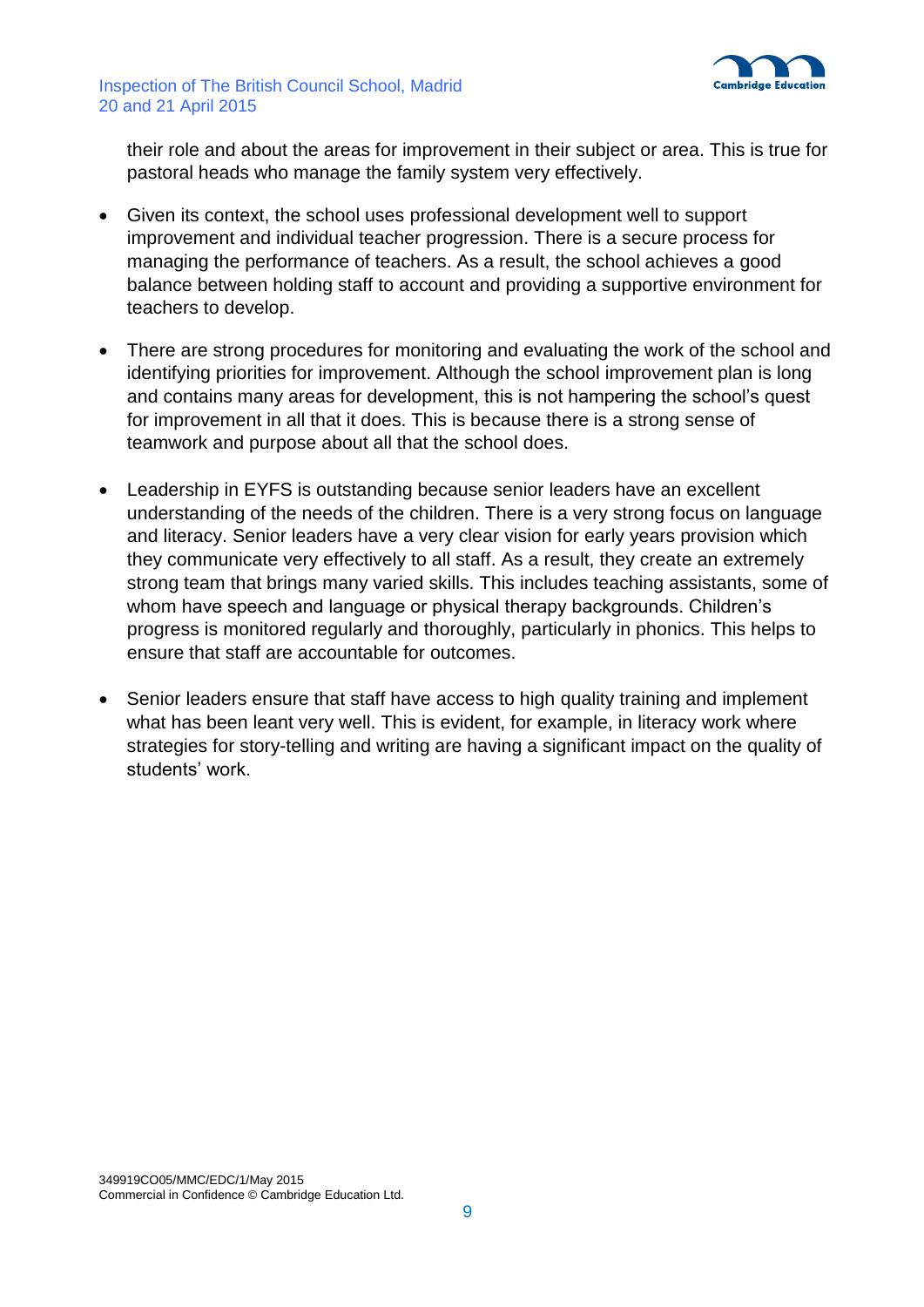

their role and about the areas for improvement in their subject or area. This is true for pastoral heads who manage the family system very effectively.

- Given its context, the school uses professional development well to support improvement and individual teacher progression. There is a secure process for managing the performance of teachers. As a result, the school achieves a good balance between holding staff to account and providing a supportive environment for teachers to develop.
- There are strong procedures for monitoring and evaluating the work of the school and identifying priorities for improvement. Although the school improvement plan is long and contains many areas for development, this is not hampering the school's quest for improvement in all that it does. This is because there is a strong sense of teamwork and purpose about all that the school does.
- Leadership in EYFS is outstanding because senior leaders have an excellent understanding of the needs of the children. There is a very strong focus on language and literacy. Senior leaders have a very clear vision for early years provision which they communicate very effectively to all staff. As a result, they create an extremely strong team that brings many varied skills. This includes teaching assistants, some of whom have speech and language or physical therapy backgrounds. Children's progress is monitored regularly and thoroughly, particularly in phonics. This helps to ensure that staff are accountable for outcomes.
- Senior leaders ensure that staff have access to high quality training and implement what has been leant very well. This is evident, for example, in literacy work where strategies for story-telling and writing are having a significant impact on the quality of students' work.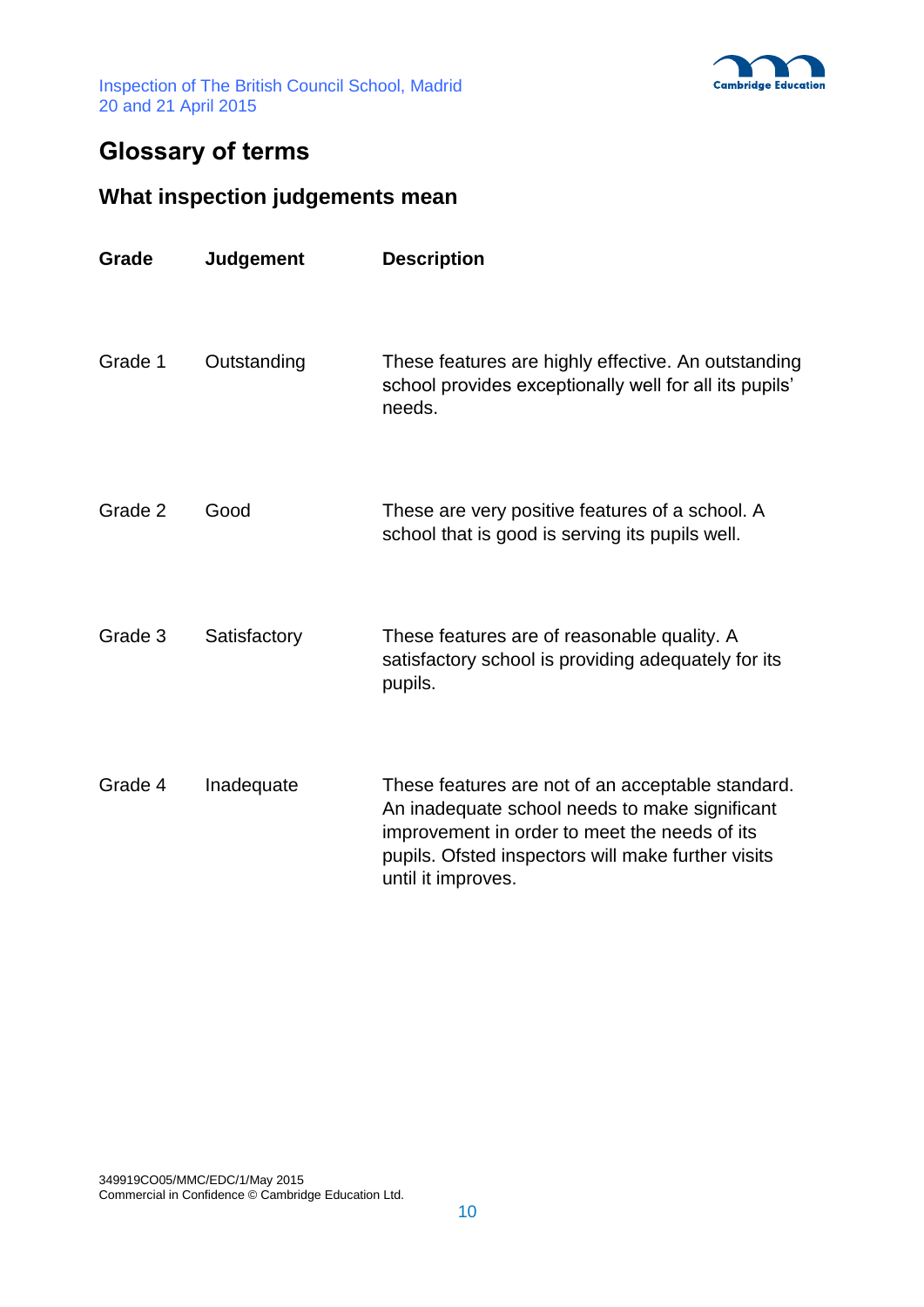

# **Glossary of terms**

## **What inspection judgements mean**

| Grade   | Judgement    | <b>Description</b>                                                                                                                                                                                                               |
|---------|--------------|----------------------------------------------------------------------------------------------------------------------------------------------------------------------------------------------------------------------------------|
| Grade 1 | Outstanding  | These features are highly effective. An outstanding<br>school provides exceptionally well for all its pupils'<br>needs.                                                                                                          |
| Grade 2 | Good         | These are very positive features of a school. A<br>school that is good is serving its pupils well.                                                                                                                               |
| Grade 3 | Satisfactory | These features are of reasonable quality. A<br>satisfactory school is providing adequately for its<br>pupils.                                                                                                                    |
| Grade 4 | Inadequate   | These features are not of an acceptable standard.<br>An inadequate school needs to make significant<br>improvement in order to meet the needs of its<br>pupils. Ofsted inspectors will make further visits<br>until it improves. |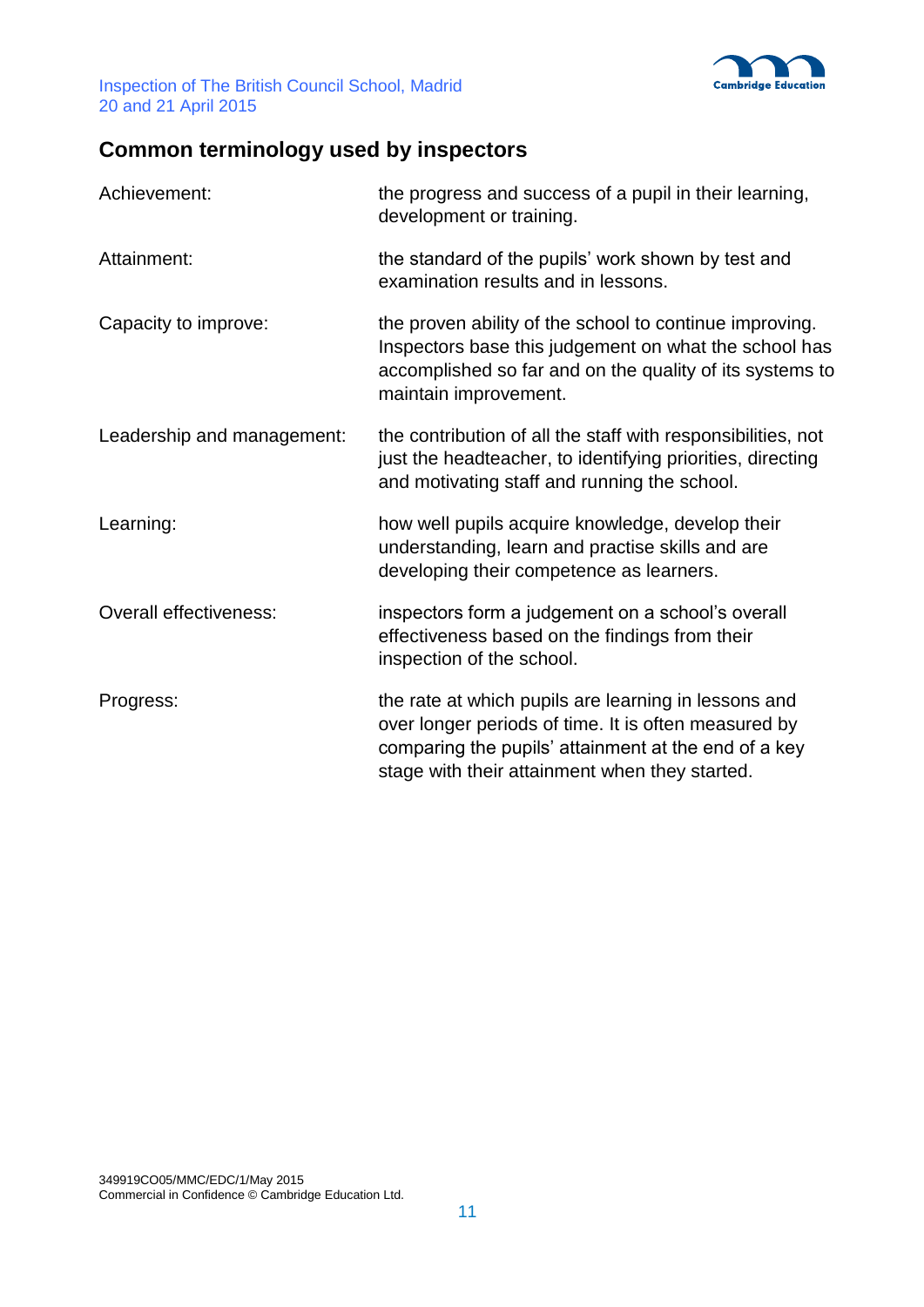

# **Common terminology used by inspectors**

| Achievement:                  | the progress and success of a pupil in their learning,<br>development or training.                                                                                                                                     |
|-------------------------------|------------------------------------------------------------------------------------------------------------------------------------------------------------------------------------------------------------------------|
| Attainment:                   | the standard of the pupils' work shown by test and<br>examination results and in lessons.                                                                                                                              |
| Capacity to improve:          | the proven ability of the school to continue improving.<br>Inspectors base this judgement on what the school has<br>accomplished so far and on the quality of its systems to<br>maintain improvement.                  |
| Leadership and management:    | the contribution of all the staff with responsibilities, not<br>just the headteacher, to identifying priorities, directing<br>and motivating staff and running the school.                                             |
| Learning:                     | how well pupils acquire knowledge, develop their<br>understanding, learn and practise skills and are<br>developing their competence as learners.                                                                       |
| <b>Overall effectiveness:</b> | inspectors form a judgement on a school's overall<br>effectiveness based on the findings from their<br>inspection of the school.                                                                                       |
| Progress:                     | the rate at which pupils are learning in lessons and<br>over longer periods of time. It is often measured by<br>comparing the pupils' attainment at the end of a key<br>stage with their attainment when they started. |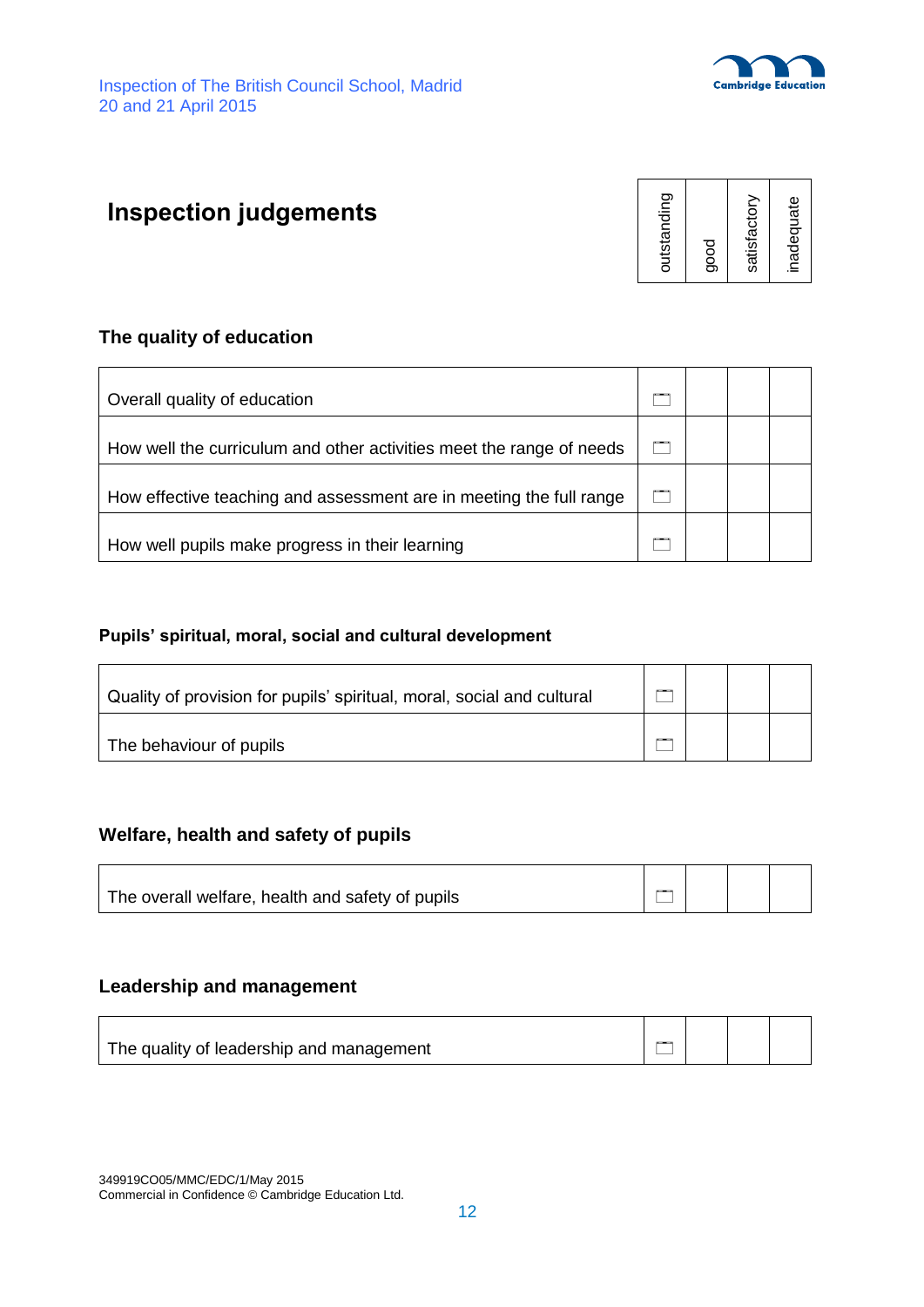

# **Inspection judgements**



### **The quality of education**

| Overall quality of education                                         |  |  |
|----------------------------------------------------------------------|--|--|
| How well the curriculum and other activities meet the range of needs |  |  |
| How effective teaching and assessment are in meeting the full range  |  |  |
| How well pupils make progress in their learning                      |  |  |

#### **Pupils' spiritual, moral, social and cultural development**

| Quality of provision for pupils' spiritual, moral, social and cultural | $-$ |  |  |
|------------------------------------------------------------------------|-----|--|--|
| The behaviour of pupils                                                | --- |  |  |

### **Welfare, health and safety of pupils**

| The overall welfare, health and safety of pupils |  |  |
|--------------------------------------------------|--|--|
|                                                  |  |  |

#### **Leadership and management**

 $\blacksquare$ 

| The quality of leadership and management |  |  |
|------------------------------------------|--|--|

349919CO05/MMC/EDC/1/May 2015 Commercial in Confidence © Cambridge Education Ltd.